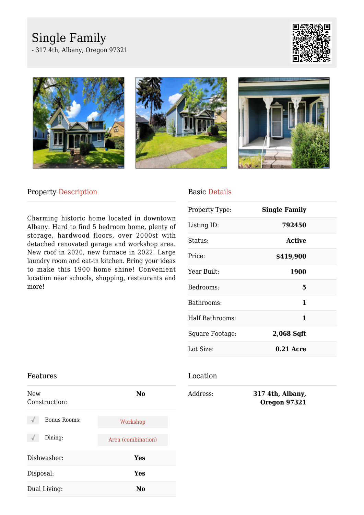# Single Family

- 317 4th, Albany, Oregon 97321









# Property Description

Charming historic home located in downtown Albany. Hard to find 5 bedroom home, plenty of storage, hardwood floors, over 2000sf with detached renovated garage and workshop area. New roof in 2020, new furnace in 2022. Large laundry room and eat-in kitchen. Bring your ideas to make this 1900 home shine! Convenient location near schools, shopping, restaurants and more!

## Basic Details

| <b>Single Family</b> |  |
|----------------------|--|
| 792450               |  |
| Active               |  |
| \$419,900            |  |
| 1900                 |  |
| 5                    |  |
| 1                    |  |
| 1                    |  |
| 2,068 Sqft           |  |
| $0.21$ Acre          |  |
|                      |  |

#### Location

Address: **317 4th, Albany, Oregon 97321**

## Features

| New<br>Construction: | No                 |
|----------------------|--------------------|
| <b>Bonus Rooms:</b>  | Workshop           |
| Dining:              | Area (combination) |
| Dishwasher:          | Yes                |
| Disposal:            | Yes                |
| Dual Living:         | N٥                 |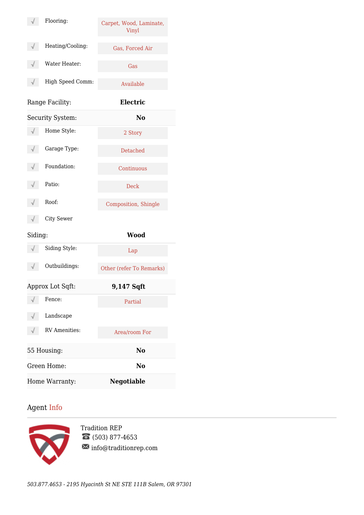|         | Flooring:            | Carpet, Wood, Laminate,<br>Vinyl |  |
|---------|----------------------|----------------------------------|--|
| √       | Heating/Cooling:     | Gas, Forced Air                  |  |
|         | Water Heater:        | Gas                              |  |
|         | High Speed Comm:     | Available                        |  |
|         | Range Facility:      | Electric                         |  |
|         | Security System:     | N <sub>0</sub>                   |  |
|         | Home Style:          | 2 Story                          |  |
|         | Garage Type:         | <b>Detached</b>                  |  |
|         | Foundation:          | Continuous                       |  |
|         | Patio:               | <b>Deck</b>                      |  |
|         | Roof:                | <b>Composition</b> , Shingle     |  |
|         | <b>City Sewer</b>    |                                  |  |
| Siding: |                      | <b>Wood</b>                      |  |
|         | Siding Style:        | Lap                              |  |
|         | Outbuildings:        | Other (refer To Remarks)         |  |
|         | Approx Lot Sqft:     | 9,147 Sqft                       |  |
|         | Fence:               | Partial                          |  |
|         | Landscape            |                                  |  |
|         | <b>RV</b> Amenities: | Area/room For                    |  |
|         | 55 Housing:          | No                               |  |
|         | Green Home:          | No                               |  |
|         | Home Warranty:       | <b>Negotiable</b>                |  |

# Agent Info



Tradition REP (503) 877-4653  $\boxtimes$  info@traditionrep.com